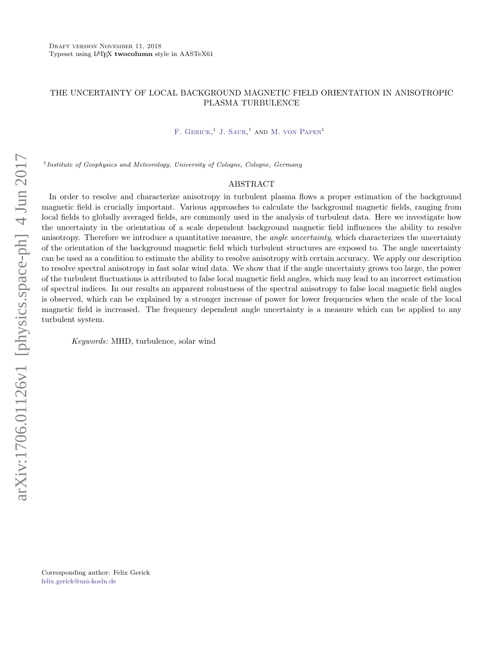# THE UNCERTAINTY OF LOCAL BACKGROUND MAGNETIC FIELD ORIENTATION IN ANISOTROPIC PLASMA TURBULENCE

 $F.$  GERICK.<sup>1</sup> J. SAUR.<sup>1</sup> AND M. VON PAPEN<sup>1</sup>

<sup>1</sup> Institute of Geophysics and Meteorology, University of Cologne, Cologne, Germany

### ABSTRACT

In order to resolve and characterize anisotropy in turbulent plasma flows a proper estimation of the background magnetic field is crucially important. Various approaches to calculate the background magnetic fields, ranging from local fields to globally averaged fields, are commonly used in the analysis of turbulent data. Here we investigate how the uncertainty in the orientation of a scale dependent background magnetic field influences the ability to resolve anisotropy. Therefore we introduce a quantitative measure, the *angle uncertainty*, which characterizes the uncertainty of the orientation of the background magnetic field which turbulent structures are exposed to. The angle uncertainty can be used as a condition to estimate the ability to resolve anisotropy with certain accuracy. We apply our description to resolve spectral anisotropy in fast solar wind data. We show that if the angle uncertainty grows too large, the power of the turbulent fluctuations is attributed to false local magnetic field angles, which may lead to an incorrect estimation of spectral indices. In our results an apparent robustness of the spectral anisotropy to false local magnetic field angles is observed, which can be explained by a stronger increase of power for lower frequencies when the scale of the local magnetic field is increased. The frequency dependent angle uncertainty is a measure which can be applied to any turbulent system.

Keywords: MHD, turbulence, solar wind

Corresponding author: Felix Gerick [felix.gerick@uni-koeln.de](mailto: felix.gerick@uni-koeln.de)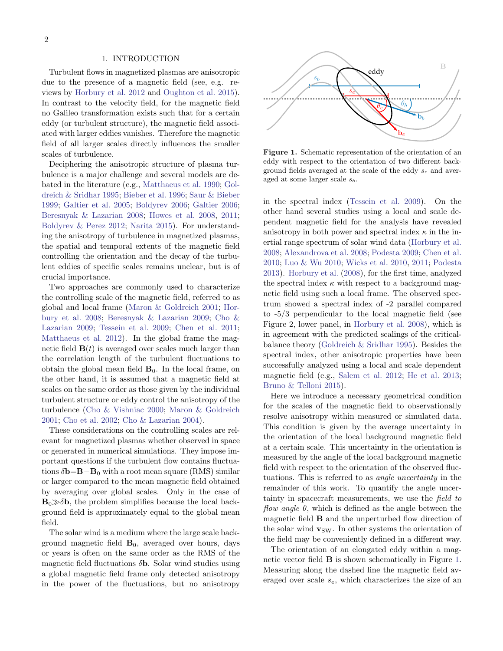#### 1. INTRODUCTION

Turbulent flows in magnetized plasmas are anisotropic due to the presence of a magnetic field (see, e.g. reviews by [Horbury et al.](#page-8-0) [2012](#page-8-0) and [Oughton et al.](#page-8-1) [2015\)](#page-8-1). In contrast to the velocity field, for the magnetic field no Galileo transformation exists such that for a certain eddy (or turbulent structure), the magnetic field associated with larger eddies vanishes. Therefore the magnetic field of all larger scales directly influences the smaller scales of turbulence.

Deciphering the anisotropic structure of plasma turbulence is a major challenge and several models are debated in the literature (e.g., [Matthaeus et al.](#page-8-2) [1990;](#page-8-2) [Gol](#page-8-3)[dreich & Sridhar](#page-8-3) [1995;](#page-8-3) [Bieber et al.](#page-8-4) [1996;](#page-8-4) [Saur & Bieber](#page-8-5) [1999;](#page-8-5) [Galtier et al.](#page-8-6) [2005;](#page-8-6) [Boldyrev](#page-8-7) [2006;](#page-8-7) [Galtier](#page-8-8) [2006;](#page-8-8) [Beresnyak & Lazarian](#page-8-9) [2008;](#page-8-9) [Howes et al.](#page-8-10) [2008,](#page-8-10) [2011;](#page-8-11) [Boldyrev & Perez](#page-8-12) [2012;](#page-8-12) [Narita](#page-8-13) [2015\)](#page-8-13). For understanding the anisotropy of turbulence in magnetized plasmas, the spatial and temporal extents of the magnetic field controlling the orientation and the decay of the turbulent eddies of specific scales remains unclear, but is of crucial importance.

Two approaches are commonly used to characterize the controlling scale of the magnetic field, referred to as global and local frame [\(Maron & Goldreich](#page-8-14) [2001;](#page-8-14) [Hor](#page-8-15)[bury et al.](#page-8-15) [2008;](#page-8-15) [Beresnyak & Lazarian](#page-8-16) [2009;](#page-8-16) [Cho &](#page-8-17) [Lazarian](#page-8-17) [2009;](#page-8-17) [Tessein et al.](#page-8-18) [2009;](#page-8-18) [Chen et al.](#page-8-19) [2011;](#page-8-19) [Matthaeus et al.](#page-8-20) [2012\)](#page-8-20). In the global frame the magnetic field  $\mathbf{B}(t)$  is averaged over scales much larger than the correlation length of the turbulent fluctuations to obtain the global mean field  $B_0$ . In the local frame, on the other hand, it is assumed that a magnetic field at scales on the same order as those given by the individual turbulent structure or eddy control the anisotropy of the turbulence [\(Cho & Vishniac](#page-8-21) [2000;](#page-8-21) [Maron & Goldreich](#page-8-14) [2001;](#page-8-14) [Cho et al.](#page-8-22) [2002;](#page-8-22) [Cho & Lazarian](#page-8-23) [2004\)](#page-8-23).

These considerations on the controlling scales are relevant for magnetized plasmas whether observed in space or generated in numerical simulations. They impose important questions if the turbulent flow contains fluctuations  $\delta$ **b**=**B**−**B**<sub>0</sub> with a root mean square (RMS) similar or larger compared to the mean magnetic field obtained by averaging over global scales. Only in the case of  $B_0 \gg \delta b$ , the problem simplifies because the local background field is approximately equal to the global mean field.

The solar wind is a medium where the large scale background magnetic field  $B_0$ , averaged over hours, days or years is often on the same order as the RMS of the magnetic field fluctuations  $\delta$ **b**. Solar wind studies using a global magnetic field frame only detected anisotropy in the power of the fluctuations, but no anisotropy



<span id="page-1-0"></span>Figure 1. Schematic representation of the orientation of an eddy with respect to the orientation of two different background fields averaged at the scale of the eddy  $s_e$  and averaged at some larger scale  $s_b$ .

in the spectral index [\(Tessein et al.](#page-8-18) [2009\)](#page-8-18). On the other hand several studies using a local and scale dependent magnetic field for the analysis have revealed anisotropy in both power and spectral index  $\kappa$  in the inertial range spectrum of solar wind data [\(Horbury et al.](#page-8-15) [2008;](#page-8-15) [Alexandrova et al.](#page-8-24) [2008;](#page-8-24) [Podesta](#page-8-25) [2009;](#page-8-25) [Chen et al.](#page-8-26) [2010;](#page-8-26) [Luo & Wu](#page-8-27) [2010;](#page-8-27) [Wicks et al.](#page-8-28) [2010,](#page-8-28) [2011;](#page-8-29) [Podesta](#page-8-30) [2013\)](#page-8-30). [Horbury et al.](#page-8-15) [\(2008\)](#page-8-15), for the first time, analyzed the spectral index  $\kappa$  with respect to a background magnetic field using such a local frame. The observed spectrum showed a spectral index of -2 parallel compared to -5/3 perpendicular to the local magnetic field (see Figure 2, lower panel, in [Horbury et al.](#page-8-15) [2008\)](#page-8-15), which is in agreement with the predicted scalings of the criticalbalance theory [\(Goldreich & Sridhar](#page-8-3) [1995\)](#page-8-3). Besides the spectral index, other anisotropic properties have been successfully analyzed using a local and scale dependent magnetic field (e.g., [Salem et al.](#page-8-31) [2012;](#page-8-31) [He et al.](#page-8-32) [2013;](#page-8-32) [Bruno & Telloni](#page-8-33) [2015\)](#page-8-33).

Here we introduce a necessary geometrical condition for the scales of the magnetic field to observationally resolve anisotropy within measured or simulated data. This condition is given by the average uncertainty in the orientation of the local background magnetic field at a certain scale. This uncertainty in the orientation is measured by the angle of the local background magnetic field with respect to the orientation of the observed fluctuations. This is referred to as angle uncertainty in the remainder of this work. To quantify the angle uncertainty in spacecraft measurements, we use the field to flow angle  $\theta$ , which is defined as the angle between the magnetic field B and the unperturbed flow direction of the solar wind  $\mathbf{v}_{\text{SW}}$ . In other systems the orientation of the field may be conveniently defined in a different way.

The orientation of an elongated eddy within a magnetic vector field B is shown schematically in Figure [1.](#page-1-0) Measuring along the dashed line the magnetic field averaged over scale  $s_e$ , which characterizes the size of an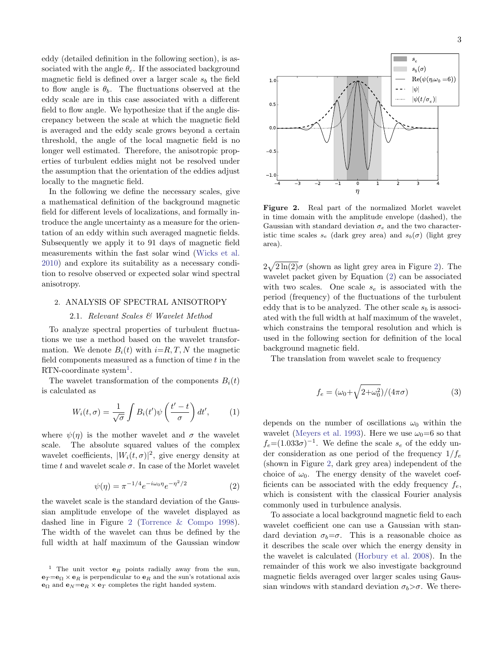eddy (detailed definition in the following section), is associated with the angle  $\theta_e$ . If the associated background magnetic field is defined over a larger scale  $s_b$  the field to flow angle is  $\theta_b$ . The fluctuations observed at the eddy scale are in this case associated with a different field to flow angle. We hypothesize that if the angle discrepancy between the scale at which the magnetic field is averaged and the eddy scale grows beyond a certain threshold, the angle of the local magnetic field is no longer well estimated. Therefore, the anisotropic properties of turbulent eddies might not be resolved under the assumption that the orientation of the eddies adjust locally to the magnetic field.

In the following we define the necessary scales, give a mathematical definition of the background magnetic field for different levels of localizations, and formally introduce the angle uncertainty as a measure for the orientation of an eddy within such averaged magnetic fields. Subsequently we apply it to 91 days of magnetic field measurements within the fast solar wind [\(Wicks et al.](#page-8-28) [2010\)](#page-8-28) and explore its suitability as a necessary condition to resolve observed or expected solar wind spectral anisotropy.

# 2. ANALYSIS OF SPECTRAL ANISOTROPY

### 2.1. Relevant Scales & Wavelet Method

To analyze spectral properties of turbulent fluctuations we use a method based on the wavelet transformation. We denote  $B_i(t)$  with  $i=R, T, N$  the magnetic field components measured as a function of time  $t$  in the  $RTN$ -coordinate system<sup>[1](#page-2-0)</sup>.

The wavelet transformation of the components  $B_i(t)$ is calculated as

$$
W_i(t,\sigma) = \frac{1}{\sqrt{\sigma}} \int B_i(t') \psi\left(\frac{t'-t}{\sigma}\right) dt', \qquad (1)
$$

where  $\psi(\eta)$  is the mother wavelet and  $\sigma$  the wavelet scale. The absolute squared values of the complex wavelet coefficients,  $|W_i(t, \sigma)|^2$ , give energy density at time t and wavelet scale  $\sigma$ . In case of the Morlet wavelet

$$
\psi(\eta) = \pi^{-1/4} e^{-i\omega_0 \eta} e^{-\eta^2/2}
$$
\n(2)

<span id="page-2-2"></span>the wavelet scale is the standard deviation of the Gaussian amplitude envelope of the wavelet displayed as dashed line in Figure [2](#page-2-1) [\(Torrence & Compo](#page-8-34) [1998\)](#page-8-34). The width of the wavelet can thus be defined by the full width at half maximum of the Gaussian window



<span id="page-2-1"></span>Figure 2. Real part of the normalized Morlet wavelet in time domain with the amplitude envelope (dashed), the Gaussian with standard deviation  $\sigma_e$  and the two characteristic time scales  $s_e$  (dark grey area) and  $s_b(\sigma)$  (light grey area).

 $2\sqrt{2\ln(2)}\sigma$  $2\sqrt{2\ln(2)}\sigma$  $2\sqrt{2\ln(2)}\sigma$  (shown as light grey area in Figure 2). The wavelet packet given by Equation [\(2\)](#page-2-2) can be associated with two scales. One scale  $s_e$  is associated with the period (frequency) of the fluctuations of the turbulent eddy that is to be analyzed. The other scale  $s_b$  is associated with the full width at half maximum of the wavelet, which constrains the temporal resolution and which is used in the following section for definition of the local background magnetic field.

The translation from wavelet scale to frequency

$$
f_e = \left(\omega_0 + \sqrt{2 + \omega_0^2}\right) / (4\pi\sigma) \tag{3}
$$

depends on the number of oscillations  $\omega_0$  within the wavelet [\(Meyers et al.](#page-8-35) [1993\)](#page-8-35). Here we use  $\omega_0=6$  so that  $f_e = (1.033\sigma)^{-1}$ . We define the scale  $s_e$  of the eddy under consideration as one period of the frequency  $1/f_e$ (shown in Figure [2,](#page-2-1) dark grey area) independent of the choice of  $\omega_0$ . The energy density of the wavelet coefficients can be associated with the eddy frequency  $f_e$ , which is consistent with the classical Fourier analysis commonly used in turbulence analysis.

To associate a local background magnetic field to each wavelet coefficient one can use a Gaussian with standard deviation  $\sigma_b = \sigma$ . This is a reasonable choice as it describes the scale over which the energy density in the wavelet is calculated [\(Horbury et al.](#page-8-15) [2008\)](#page-8-15). In the remainder of this work we also investigate background magnetic fields averaged over larger scales using Gaussian windows with standard deviation  $\sigma_b > \sigma$ . We there-

<span id="page-2-0"></span><sup>&</sup>lt;sup>1</sup> The unit vector  $e_R$  points radially away from the sun,  $e_T = e_\Omega \times e_R$  is perpendicular to  $e_R$  and the sun's rotational axis  $\mathbf{e}_{\Omega}$  and  $\mathbf{e}_{N} = \mathbf{e}_{R} \times \mathbf{e}_{T}$  completes the right handed system.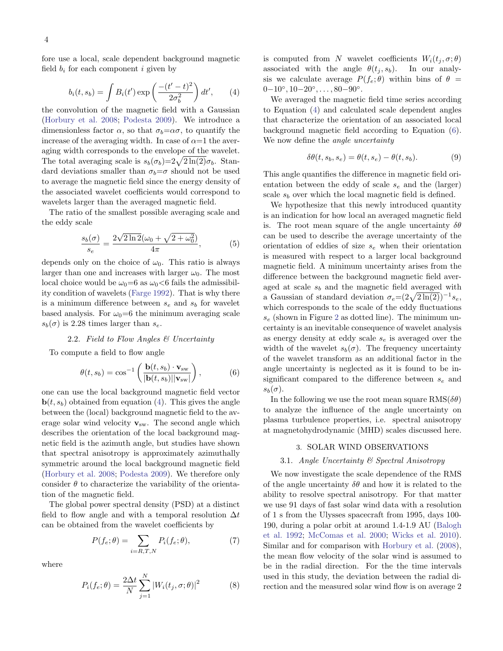<span id="page-3-0"></span>fore use a local, scale dependent background magnetic field  $b_i$  for each component i given by

$$
b_i(t, s_b) = \int B_i(t') \exp\left(\frac{-(t'-t)^2}{2\sigma_b^2}\right) dt', \qquad (4)
$$

the convolution of the magnetic field with a Gaussian [\(Horbury et al.](#page-8-15) [2008;](#page-8-15) [Podesta](#page-8-25) [2009\)](#page-8-25). We introduce a dimensionless factor  $\alpha$ , so that  $\sigma_b = \alpha \sigma$ , to quantify the increase of the averaging width. In case of  $\alpha=1$  the averaging width corresponds to the envelope of the wavelet. The total averaging scale is  $s_b(\sigma_b)=2\sqrt{2\ln(2)}\sigma_b$ . Standard deviations smaller than  $\sigma_b = \sigma$  should not be used to average the magnetic field since the energy density of the associated wavelet coefficients would correspond to wavelets larger than the averaged magnetic field.

The ratio of the smallest possible averaging scale and the eddy scale

$$
\frac{s_b(\sigma)}{s_e} = \frac{2\sqrt{2\ln 2}(\omega_0 + \sqrt{2 + \omega_0^2})}{4\pi},
$$
 (5)

depends only on the choice of  $\omega_0$ . This ratio is always larger than one and increases with larger  $\omega_0$ . The most local choice would be  $\omega_0=6$  as  $\omega_0<6$  fails the admissibility condition of wavelets [\(Farge](#page-8-36) [1992\)](#page-8-36). That is why there is a minimum difference between  $s_e$  and  $s_b$  for wavelet based analysis. For  $\omega_0=6$  the minimum averaging scale  $s_b(\sigma)$  is 2.28 times larger than  $s_e$ .

# 2.2. Field to Flow Angles & Uncertainty

To compute a field to flow angle

<span id="page-3-1"></span>
$$
\theta(t, s_b) = \cos^{-1}\left(\frac{\mathbf{b}(t, s_b) \cdot \mathbf{v}_{\text{sw}}}{|\mathbf{b}(t, s_b)||\mathbf{v}_{\text{sw}}|}\right),\tag{6}
$$

one can use the local background magnetic field vector  $\mathbf{b}(t, s_b)$  obtained from equation [\(4\)](#page-3-0). This gives the angle between the (local) background magnetic field to the average solar wind velocity  $v_{sw}$ . The second angle which describes the orientation of the local background magnetic field is the azimuth angle, but studies have shown that spectral anisotropy is approximately azimuthally symmetric around the local background magnetic field [\(Horbury et al.](#page-8-15) [2008;](#page-8-15) [Podesta](#page-8-25) [2009\)](#page-8-25). We therefore only consider  $\theta$  to characterize the variability of the orientation of the magnetic field.

The global power spectral density (PSD) at a distinct field to flow angle and with a temporal resolution  $\Delta t$ can be obtained from the wavelet coefficients by

$$
P(f_e; \theta) = \sum_{i=R,T,N} P_i(f_e; \theta), \tag{7}
$$

where

<span id="page-3-2"></span>
$$
P_i(f_e; \theta) = \frac{2\Delta t}{N} \sum_{j=1}^{N} |W_i(t_j, \sigma; \theta)|^2
$$
 (8)

is computed from N wavelet coefficients  $W_i(t_i, \sigma; \theta)$ associated with the angle  $\theta(t_i, s_b)$ . In our analysis we calculate average  $P(f_e; \theta)$  within bins of  $\theta =$  $0-10^{\circ}, 10-20^{\circ}, \ldots, 80-90^{\circ}.$ 

We averaged the magnetic field time series according to Equation [\(4\)](#page-3-0) and calculated scale dependent angles that characterize the orientation of an associated local background magnetic field according to Equation [\(6\)](#page-3-1). We now define the *angle uncertainty* 

<span id="page-3-3"></span>
$$
\delta\theta(t, s_b, s_e) = \theta(t, s_e) - \theta(t, s_b).
$$
 (9)

This angle quantifies the difference in magnetic field orientation between the eddy of scale  $s_e$  and the (larger) scale  $s_b$  over which the local magnetic field is defined.

We hypothesize that this newly introduced quantity is an indication for how local an averaged magnetic field is. The root mean square of the angle uncertainty  $\delta\theta$ can be used to describe the average uncertainty of the orientation of eddies of size  $s_e$  when their orientation is measured with respect to a larger local background magnetic field. A minimum uncertainty arises from the difference between the background magnetic field averaged at scale  $s_b$  and the magnetic field averaged with a Gaussian of standard deviation  $\sigma_e = (2\sqrt{2\ln(2)})^{-1} s_e$ , which corresponds to the scale of the eddy fluctuations  $s_e$  (shown in Figure [2](#page-2-1) as dotted line). The minimum uncertainty is an inevitable consequence of wavelet analysis as energy density at eddy scale  $s_e$  is averaged over the width of the wavelet  $s_b(\sigma)$ . The frequency uncertainty of the wavelet transform as an additional factor in the angle uncertainty is neglected as it is found to be insignificant compared to the difference between  $s_e$  and  $s_b(\sigma)$ .

In the following we use the root mean square  $\text{RMS}(\delta\theta)$ to analyze the influence of the angle uncertainty on plasma turbulence properties, i.e. spectral anisotropy at magnetohydrodynamic (MHD) scales discussed here.

## 3. SOLAR WIND OBSERVATIONS

## 3.1. Angle Uncertainty & Spectral Anisotropy

We now investigate the scale dependence of the RMS of the angle uncertainty  $\delta\theta$  and how it is related to the ability to resolve spectral anisotropy. For that matter we use 91 days of fast solar wind data with a resolution of 1 s from the Ulysses spacecraft from 1995, days 100- 190, during a polar orbit at around 1.4-1.9 AU [\(Balogh](#page-8-37) [et al.](#page-8-37) [1992;](#page-8-37) [McComas et al.](#page-8-38) [2000;](#page-8-38) [Wicks et al.](#page-8-28) [2010\)](#page-8-28). Similar and for comparison with [Horbury et al.](#page-8-15) [\(2008\)](#page-8-15), the mean flow velocity of the solar wind is assumed to be in the radial direction. For the the time intervals used in this study, the deviation between the radial direction and the measured solar wind flow is on average 2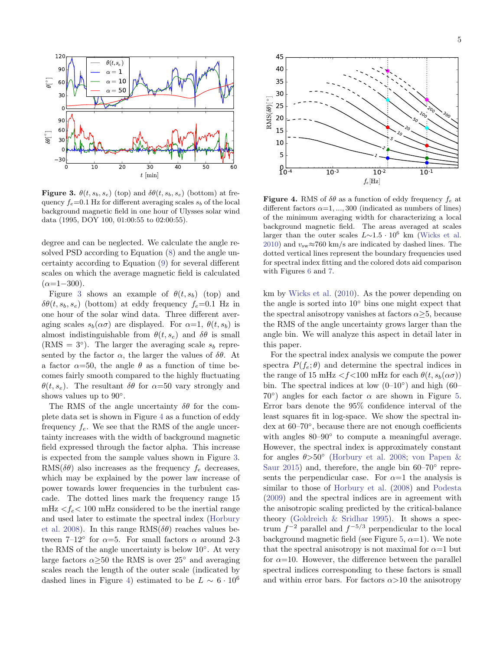

<span id="page-4-0"></span>**Figure 3.**  $\theta(t, s_b, s_e)$  (top) and  $\delta\theta(t, s_b, s_e)$  (bottom) at frequency  $f_e=0.1$  Hz for different averaging scales  $s_b$  of the local background magnetic field in one hour of Ulysses solar wind data (1995, DOY 100, 01:00:55 to 02:00:55).

degree and can be neglected. We calculate the angle resolved PSD according to Equation [\(8\)](#page-3-2) and the angle uncertainty according to Equation [\(9\)](#page-3-3) for several different scales on which the average magnetic field is calculated  $(\alpha=1-300)$ .

Figure [3](#page-4-0) shows an example of  $\theta(t, s_b)$  (top) and  $\delta\theta(t, s_h, s_e)$  (bottom) at eddy frequency  $f_e=0.1$  Hz in one hour of the solar wind data. Three different averaging scales  $s_b(\alpha\sigma)$  are displayed. For  $\alpha=1$ ,  $\theta(t, s_b)$  is almost indistinguishable from  $\theta(t, s_e)$  and  $\delta\theta$  is small (RMS =  $3^{\circ}$ ). The larger the averaging scale  $s_b$  represented by the factor  $\alpha$ , the larger the values of  $\delta\theta$ . At a factor  $\alpha = 50$ , the angle  $\theta$  as a function of time becomes fairly smooth compared to the highly fluctuating  $\theta(t, s_e)$ . The resultant  $\delta\theta$  for  $\alpha = 50$  vary strongly and shows values up to  $90^\circ$ .

The RMS of the angle uncertainty  $\delta\theta$  for the complete data set is shown in Figure [4](#page-4-1) as a function of eddy frequency  $f_e$ . We see that the RMS of the angle uncertainty increases with the width of background magnetic field expressed through the factor alpha. This increase is expected from the sample values shown in Figure [3.](#page-4-0)  $RMS(\delta\theta)$  also increases as the frequency  $f_e$  decreases, which may be explained by the power law increase of power towards lower frequencies in the turbulent cascade. The dotted lines mark the frequency range 15 mHz  $\langle f_e \rangle$  100 mHz considered to be the inertial range and used later to estimate the spectral index [\(Horbury](#page-8-15) [et al.](#page-8-15) [2008\)](#page-8-15). In this range  $\text{RMS}(\delta\theta)$  reaches values between  $7-12^{\circ}$  for  $\alpha=5$ . For small factors  $\alpha$  around 2-3 the RMS of the angle uncertainty is below 10◦ . At very large factors  $\alpha \geq 50$  the RMS is over 25° and averaging scales reach the length of the outer scale (indicated by dashed lines in Figure [4\)](#page-4-1) estimated to be  $L \sim 6 \cdot 10^6$ 



<span id="page-4-1"></span>**Figure 4.** RMS of  $\delta\theta$  as a function of eddy frequency  $f_e$  at different factors  $\alpha=1, ..., 300$  (indicated as numbers of lines) of the minimum averaging width for characterizing a local background magnetic field. The areas averaged at scales larger than the outer scales  $L \sim 1.5 \cdot 10^6$  km [\(Wicks et al.](#page-8-28) [2010\)](#page-8-28) and  $v_{\text{sw}} \approx 760 \text{ km/s}$  are indicated by dashed lines. The dotted vertical lines represent the boundary frequencies used for spectral index fitting and the colored dots aid comparison with Figures [6](#page-5-0) and [7.](#page-6-0)

km by [Wicks et al.](#page-8-28) [\(2010\)](#page-8-28). As the power depending on the angle is sorted into  $10<sup>°</sup>$  bins one might expect that the spectral anisotropy vanishes at factors  $\alpha \geq 5$ , because the RMS of the angle uncertainty grows larger than the angle bin. We will analyze this aspect in detail later in this paper.

For the spectral index analysis we compute the power spectra  $P(f_e; \theta)$  and determine the spectral indices in the range of 15 mHz  $\langle f \langle 100 \rangle$  mHz for each  $\theta(t, s_b(\alpha \sigma))$ bin. The spectral indices at low  $(0-10)$ ° and high  $(60 70^{\circ}$ ) angles for each factor  $\alpha$  are shown in Figure [5.](#page-5-1) Error bars denote the 95% confidence interval of the least squares fit in log-space. We show the spectral index at 60–70◦ , because there are not enough coefficients with angles  $80-90°$  to compute a meaningful average. However, the spectral index is approximately constant for angles  $\theta > 50^\circ$  [\(Horbury et al.](#page-8-15) [2008;](#page-8-15) [von Papen &](#page-8-39) [Saur](#page-8-39) [2015\)](#page-8-39) and, therefore, the angle bin 60–70° represents the perpendicular case. For  $\alpha=1$  the analysis is similar to those of [Horbury et al.](#page-8-15) [\(2008\)](#page-8-15) and [Podesta](#page-8-25) [\(2009\)](#page-8-25) and the spectral indices are in agreement with the anisotropic scaling predicted by the critical-balance theory [\(Goldreich & Sridhar](#page-8-3) [1995\)](#page-8-3). It shows a spectrum  $f^{-2}$  parallel and  $f^{-5/3}$  perpendicular to the local background magnetic field (see Figure [5,](#page-5-1)  $\alpha=1$ ). We note that the spectral anisotropy is not maximal for  $\alpha=1$  but for  $\alpha$ =10. However, the difference between the parallel spectral indices corresponding to these factors is small and within error bars. For factors  $\alpha > 10$  the anisotropy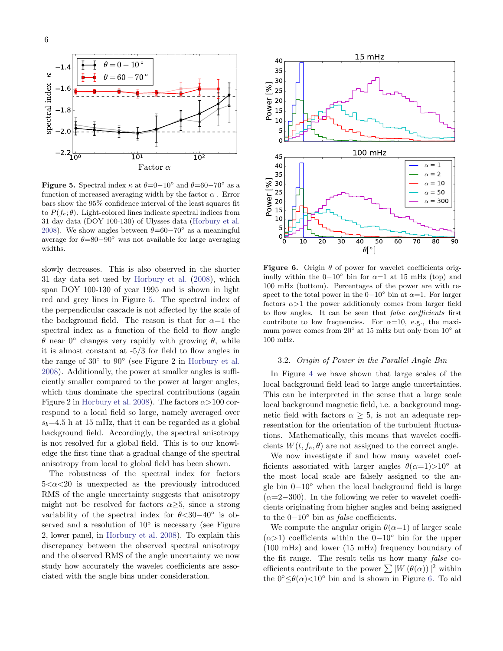

<span id="page-5-1"></span>Figure 5. Spectral index  $\kappa$  at  $\theta = 0-10^{\circ}$  and  $\theta = 60-70^{\circ}$  as a function of increased averaging width by the factor  $\alpha$ . Error bars show the 95% confidence interval of the least squares fit to  $P(f_e; \theta)$ . Light-colored lines indicate spectral indices from 31 day data (DOY 100-130) of Ulysses data [\(Horbury et al.](#page-8-15) [2008\)](#page-8-15). We show angles between  $\theta = 60 - 70^{\circ}$  as a meaningful average for  $\theta=80-90^\circ$  was not available for large averaging widths.

slowly decreases. This is also observed in the shorter 31 day data set used by [Horbury et al.](#page-8-15) [\(2008\)](#page-8-15), which span DOY 100-130 of year 1995 and is shown in light red and grey lines in Figure [5.](#page-5-1) The spectral index of the perpendicular cascade is not affected by the scale of the background field. The reason is that for  $\alpha=1$  the spectral index as a function of the field to flow angle  $\theta$  near  $0^{\circ}$  changes very rapidly with growing  $\theta$ , while it is almost constant at -5/3 for field to flow angles in the range of  $30°$  to  $90°$  (see Figure 2 in [Horbury et al.](#page-8-15) [2008\)](#page-8-15). Additionally, the power at smaller angles is sufficiently smaller compared to the power at larger angles, which thus dominate the spectral contributions (again Figure 2 in [Horbury et al.](#page-8-15) [2008\)](#page-8-15). The factors  $\alpha$  > 100 correspond to a local field so large, namely averaged over  $s_b=4.5$  h at 15 mHz, that it can be regarded as a global background field. Accordingly, the spectral anisotropy is not resolved for a global field. This is to our knowledge the first time that a gradual change of the spectral anisotropy from local to global field has been shown.

The robustness of the spectral index for factors  $5 < \alpha < 20$  is unexpected as the previously introduced RMS of the angle uncertainty suggests that anisotropy might not be resolved for factors  $\alpha \geq 5$ , since a strong variability of the spectral index for  $\theta$ <30−40 $\degree$  is observed and a resolution of  $10^{\circ}$  is necessary (see Figure 2, lower panel, in [Horbury et al.](#page-8-15) [2008\)](#page-8-15). To explain this discrepancy between the observed spectral anisotropy and the observed RMS of the angle uncertainty we now study how accurately the wavelet coefficients are associated with the angle bins under consideration.



<span id="page-5-0"></span>Figure 6. Origin  $\theta$  of power for wavelet coefficients originally within the  $0-10°$  bin for  $\alpha=1$  at 15 mHz (top) and 100 mHz (bottom). Percentages of the power are with respect to the total power in the  $0-10°$  bin at  $\alpha=1$ . For larger factors  $\alpha > 1$  the power additionaly comes from larger field to flow angles. It can be seen that false coefficients first contribute to low frequencies. For  $\alpha=10$ , e.g., the maximum power comes from 20° at 15 mHz but only from 10° at 100 mHz.

#### 3.2. Origin of Power in the Parallel Angle Bin

In Figure [4](#page-4-1) we have shown that large scales of the local background field lead to large angle uncertainties. This can be interpreted in the sense that a large scale local background magnetic field, i.e. a background magnetic field with factors  $\alpha \geq 5$ , is not an adequate representation for the orientation of the turbulent fluctuations. Mathematically, this means that wavelet coefficients  $W(t, f_e, \theta)$  are not assigned to the correct angle.

We now investigate if and how many wavelet coefficients associated with larger angles  $\theta(\alpha=1)$ >10<sup>°</sup> at the most local scale are falsely assigned to the angle bin 0−10◦ when the local background field is large  $(\alpha=2-300)$ . In the following we refer to wavelet coefficients originating from higher angles and being assigned to the  $0-10°$  bin as *false* coefficients.

We compute the angular origin  $\theta(\alpha=1)$  of larger scale  $(\alpha > 1)$  coefficients within the 0−10<sup>°</sup> bin for the upper (100 mHz) and lower (15 mHz) frequency boundary of the fit range. The result tells us how many false coefficients contribute to the power  $\sum |W(\theta(\alpha))|^2$  within the  $0^{\circ} \leq \theta(\alpha) < 10^{\circ}$  bin and is shown in Figure [6.](#page-5-0) To aid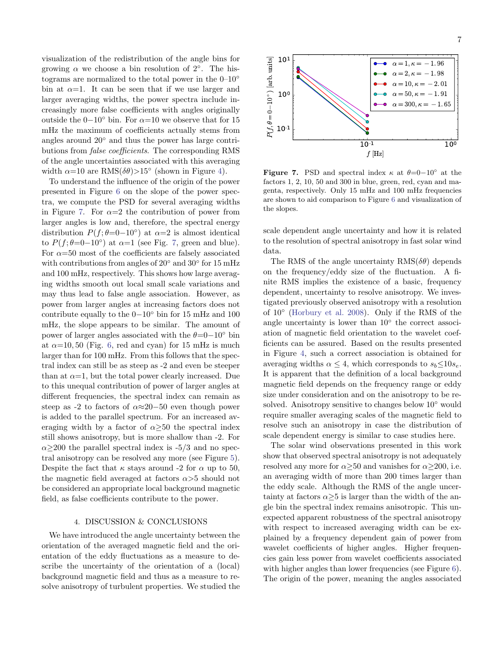visualization of the redistribution of the angle bins for growing  $\alpha$  we choose a bin resolution of  $2^\circ$ . The histograms are normalized to the total power in the  $0-10°$ bin at  $\alpha=1$ . It can be seen that if we use larger and larger averaging widths, the power spectra include increasingly more false coefficients with angles originally outside the 0−10◦ bin. For α=10 we observe that for 15 mHz the maximum of coefficients actually stems from angles around 20◦ and thus the power has large contributions from false coefficients. The corresponding RMS of the angle uncertainties associated with this averaging width  $\alpha=10$  are RMS $(\delta\theta)$ >15° (shown in Figure [4\)](#page-4-1).

To understand the influence of the origin of the power presented in Figure [6](#page-5-0) on the slope of the power spectra, we compute the PSD for several averaging widths in Figure [7.](#page-6-0) For  $\alpha=2$  the contribution of power from larger angles is low and, therefore, the spectral energy distribution  $P(f; \theta=0-10^{\circ})$  at  $\alpha=2$  is almost identical to  $P(f; \theta=0-10^{\circ})$  at  $\alpha=1$  (see Fig. [7,](#page-6-0) green and blue). For  $\alpha$ =50 most of the coefficients are falsely associated with contributions from angles of 20<sup>°</sup> and 30<sup>°</sup> for 15 mHz and 100 mHz, respectively. This shows how large averaging widths smooth out local small scale variations and may thus lead to false angle association. However, as power from larger angles at increasing factors does not contribute equally to the 0−10◦ bin for 15 mHz and 100 mHz, the slope appears to be similar. The amount of power of larger angles associated with the  $\theta = 0-10°$  bin at  $\alpha$ =10, 50 (Fig. [6,](#page-5-0) red and cyan) for 15 mHz is much larger than for 100 mHz. From this follows that the spectral index can still be as steep as -2 and even be steeper than at  $\alpha=1$ , but the total power clearly increased. Due to this unequal contribution of power of larger angles at different frequencies, the spectral index can remain as steep as -2 to factors of  $\alpha \approx 20-50$  even though power is added to the parallel spectrum. For an increased averaging width by a factor of  $\alpha$ >50 the spectral index still shows anisotropy, but is more shallow than -2. For  $\alpha \geq 200$  the parallel spectral index is -5/3 and no spectral anisotropy can be resolved any more (see Figure [5\)](#page-5-1). Despite the fact that  $\kappa$  stays around -2 for  $\alpha$  up to 50, the magnetic field averaged at factors  $\alpha$  > 5 should not be considered an appropriate local background magnetic field, as false coefficients contribute to the power.

### 4. DISCUSSION & CONCLUSIONS

We have introduced the angle uncertainty between the orientation of the averaged magnetic field and the orientation of the eddy fluctuations as a measure to describe the uncertainty of the orientation of a (local) background magnetic field and thus as a measure to resolve anisotropy of turbulent properties. We studied the



<span id="page-6-0"></span>Figure 7. PSD and spectral index  $\kappa$  at  $\theta = 0-10^{\circ}$  at the factors 1, 2, 10, 50 and 300 in blue, green, red, cyan and magenta, respectively. Only 15 mHz and 100 mHz frequencies are shown to aid comparison to Figure [6](#page-5-0) and visualization of the slopes.

scale dependent angle uncertainty and how it is related to the resolution of spectral anisotropy in fast solar wind data.

The RMS of the angle uncertainty  $RMS(\delta\theta)$  depends on the frequency/eddy size of the fluctuation. A finite RMS implies the existence of a basic, frequency dependent, uncertainty to resolve anisotropy. We investigated previously observed anisotropy with a resolution of 10◦ [\(Horbury et al.](#page-8-15) [2008\)](#page-8-15). Only if the RMS of the angle uncertainty is lower than  $10^{\circ}$  the correct association of magnetic field orientation to the wavelet coefficients can be assured. Based on the results presented in Figure [4,](#page-4-1) such a correct association is obtained for averaging widths  $\alpha \leq 4$ , which corresponds to  $s_b \leq 10s_e$ . It is apparent that the definition of a local background magnetic field depends on the frequency range or eddy size under consideration and on the anisotropy to be resolved. Anisotropy sensitive to changes below 10◦ would require smaller averaging scales of the magnetic field to resolve such an anisotropy in case the distribution of scale dependent energy is similar to case studies here.

The solar wind observations presented in this work show that observed spectral anisotropy is not adequately resolved any more for  $\alpha \geq 50$  and vanishes for  $\alpha \geq 200$ , i.e. an averaging width of more than 200 times larger than the eddy scale. Although the RMS of the angle uncertainty at factors  $\alpha \geq 5$  is larger than the width of the angle bin the spectral index remains anisotropic. This unexpected apparent robustness of the spectral anisotropy with respect to increased averaging width can be explained by a frequency dependent gain of power from wavelet coefficients of higher angles. Higher frequencies gain less power from wavelet coefficients associated with higher angles than lower frequencies (see Figure [6\)](#page-5-0). The origin of the power, meaning the angles associated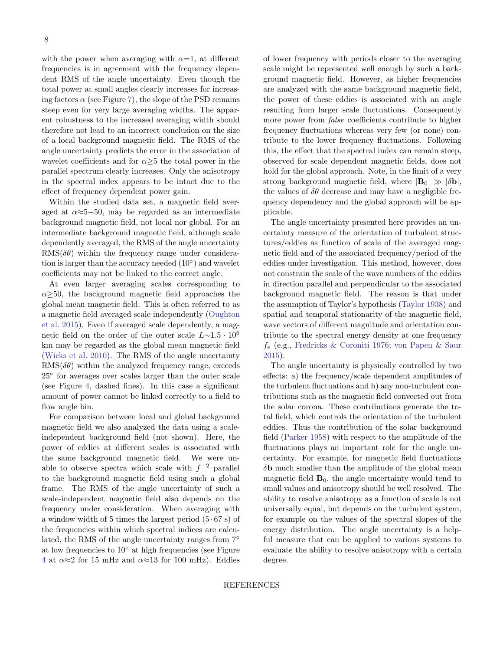with the power when averaging with  $\alpha=1$ , at different frequencies is in agreement with the frequency dependent RMS of the angle uncertainty. Even though the total power at small angles clearly increases for increasing factors  $\alpha$  (see Figure [7\)](#page-6-0), the slope of the PSD remains steep even for very large averaging widths. The apparent robustness to the increased averaging width should therefore not lead to an incorrect conclusion on the size of a local background magnetic field. The RMS of the angle uncertainty predicts the error in the association of wavelet coefficients and for  $\alpha \geq 5$  the total power in the parallel spectrum clearly increases. Only the anisotropy in the spectral index appears to be intact due to the effect of frequency dependent power gain.

Within the studied data set, a magnetic field averaged at  $\alpha \approx 5-50$ , may be regarded as an intermediate background magnetic field, not local nor global. For an intermediate background magnetic field, although scale dependently averaged, the RMS of the angle uncertainty  $RMS(\delta\theta)$  within the frequency range under consideration is larger than the accuracy needed (10◦ ) and wavelet coefficients may not be linked to the correct angle.

At even larger averaging scales corresponding to  $\alpha \geq 50$ , the background magnetic field approaches the global mean magnetic field. This is often referred to as a magnetic field averaged scale independently [\(Oughton](#page-8-1) [et al.](#page-8-1) [2015\)](#page-8-1). Even if averaged scale dependently, a magnetic field on the order of the outer scale  $L\sim1.5\cdot10^6$ km may be regarded as the global mean magnetic field [\(Wicks et al.](#page-8-28) [2010\)](#page-8-28). The RMS of the angle uncertainty  $RMS(\delta\theta)$  within the analyzed frequency range, exceeds 25◦ for averages over scales larger than the outer scale (see Figure [4,](#page-4-1) dashed lines). In this case a significant amount of power cannot be linked correctly to a field to flow angle bin.

For comparison between local and global background magnetic field we also analyzed the data using a scaleindependent background field (not shown). Here, the power of eddies at different scales is associated with the same background magnetic field. We were unable to observe spectra which scale with  $f^{-2}$  parallel to the background magnetic field using such a global frame. The RMS of the angle uncertainty of such a scale-independent magnetic field also depends on the frequency under consideration. When averaging with a window width of 5 times the largest period  $(5 \cdot 67 \text{ s})$  of the frequencies within which spectral indices are calculated, the RMS of the angle uncertainty ranges from 7◦ at low frequencies to 10◦ at high frequencies (see Figure [4](#page-4-1) at  $\alpha \approx 2$  for 15 mHz and  $\alpha \approx 13$  for 100 mHz). Eddies

of lower frequency with periods closer to the averaging scale might be represented well enough by such a background magnetic field. However, as higher frequencies are analyzed with the same background magnetic field, the power of these eddies is associated with an angle resulting from larger scale fluctuations. Consequently more power from *false* coefficients contribute to higher frequency fluctuations whereas very few (or none) contribute to the lower frequency fluctuations. Following this, the effect that the spectral index can remain steep, observed for scale dependent magnetic fields, does not hold for the global approach. Note, in the limit of a very strong background magnetic field, where  $|\mathbf{B}_0| \gg |\delta \mathbf{b}|$ , the values of  $\delta\theta$  decrease and may have a negligible frequency dependency and the global approach will be applicable.

The angle uncertainty presented here provides an uncertainty measure of the orientation of turbulent structures/eddies as function of scale of the averaged magnetic field and of the associated frequency/period of the eddies under investigation. This method, however, does not constrain the scale of the wave numbers of the eddies in direction parallel and perpendicular to the associated background magnetic field. The reason is that under the assumption of Taylor's hypothesis [\(Taylor](#page-8-40) [1938\)](#page-8-40) and spatial and temporal stationarity of the magnetic field, wave vectors of different magnitude and orientation contribute to the spectral energy density at one frequency  $f_e$  (e.g., [Fredricks & Coroniti](#page-8-41) [1976;](#page-8-41) [von Papen & Saur](#page-8-39) [2015\)](#page-8-39).

The angle uncertainty is physically controlled by two effects: a) the frequency/scale dependent amplitudes of the turbulent fluctuations and b) any non-turbulent contributions such as the magnetic field convected out from the solar corona. These contributions generate the total field, which controls the orientation of the turbulent eddies. Thus the contribution of the solar background field [\(Parker](#page-8-42) [1958\)](#page-8-42) with respect to the amplitude of the fluctuations plays an important role for the angle uncertainty. For example, for magnetic field fluctuations  $\delta$ b much smaller than the amplitude of the global mean magnetic field  $\mathbf{B}_0$ , the angle uncertainty would tend to small values and anisotropy should be well resolved. The ability to resolve anisotropy as a function of scale is not universally equal, but depends on the turbulent system, for example on the values of the spectral slopes of the energy distribution. The angle uncertainty is a helpful measure that can be applied to various systems to evaluate the ability to resolve anisotropy with a certain degree.